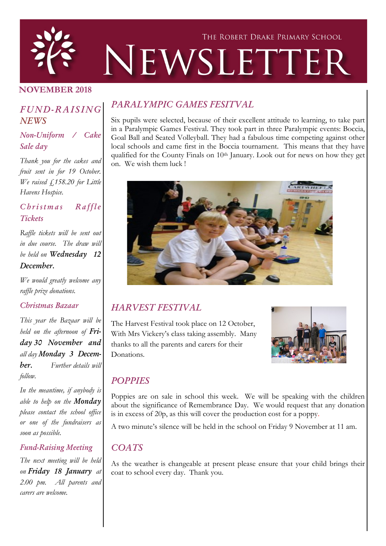

### NOVEMBER 2018

## *FUND-RAISING NEWS*

### *Non-Uniform / Cake Sale day*

*Thank you for the cakes and fruit sent in for 19 October. We raised £158.20 for Little Havens Hospice.* 

### *C h r i s t m a s R a f f l e Tickets*

*Raffle tickets will be sent out in due course. The draw will be held on Wednesday 12 December.*

*We would greatly welcome any raffle prize donations.*

#### *Christmas Bazaar*

*This year the Bazaar will be held on the afternoon of Friday 30 November and all day Monday 3 December. Further details will follow.* 

*In the meantime, if anybody is able to help on the Monday please contact the school office or one of the fundraisers as soon as possible.* 

#### *Fund-Raising Meeting*

*The next meeting will be held on Friday 18 January at 2.00 pm. All parents and carers are welcome.*

## *PARALYMPIC GAMES FESITVAL*

Six pupils were selected, because of their excellent attitude to learning, to take part in a Paralympic Games Festival. They took part in three Paralympic events: Boccia, Goal Ball and Seated Volleyball. They had a fabulous time competing against other local schools and came first in the Boccia tournament. This means that they have qualified for the County Finals on 10th January. Look out for news on how they get on. We wish them luck !



# *HARVEST FESTIVAL*

The Harvest Festival took place on 12 October, With Mrs Vickery's class taking assembly. Many thanks to all the parents and carers for their Donations.



## *POPPIES*

Poppies are on sale in school this week. We will be speaking with the children about the significance of Remembrance Day. We would request that any donation is in excess of 20p, as this will cover the production cost for a poppy.

A two minute's silence will be held in the school on Friday 9 November at 11 am.

### *COATS*

As the weather is changeable at present please ensure that your child brings their coat to school every day. Thank you.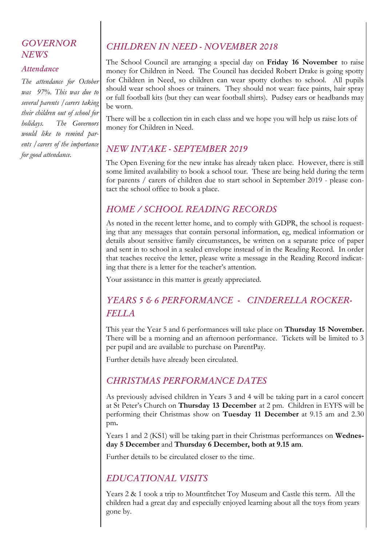### *GOVERNOR NEWS*

#### *Attendance*

*The attendance for October was 97%. This was due to several parents /carers taking their children out of school for holidays. The Governors would like to remind parents /carers of the importance for good attendance.*

# *CHILDREN IN NEED - NOVEMBER 2018*

The School Council are arranging a special day on Friday 16 November to raise money for Children in Need. The Council has decided Robert Drake is going spotty for Children in Need, so children can wear spotty clothes to school. All pupils should wear school shoes or trainers. They should not wear: face paints, hair spray or full football kits (but they can wear football shirts). Pudsey ears or headbands may be worn.

There will be a collection tin in each class and we hope you will help us raise lots of money for Children in Need.

### *NEW INTAKE - SEPTEMBER 2019*

The Open Evening for the new intake has already taken place. However, there is still some limited availability to book a school tour. These are being held during the term for parents / carers of children due to start school in September 2019 - please contact the school office to book a place.

## *HOME / SCHOOL READING RECORDS*

As noted in the recent letter home, and to comply with GDPR, the school is requesting that any messages that contain personal information, eg, medical information or details about sensitive family circumstances, be written on a separate price of paper and sent in to school in a sealed envelope instead of in the Reading Record. In order that teaches receive the letter, please write a message in the Reading Record indicating that there is a letter for the teacher's attention.

Your assistance in this matter is greatly appreciated.

# *YEARS 5 & 6 PERFORMANCE - CINDERELLA ROCKER-FELLA*

This year the Year 5 and 6 performances will take place on Thursday 15 November. There will be a morning and an afternoon performance. Tickets will be limited to 3 per pupil and are available to purchase on ParentPay.

Further details have already been circulated.

## *CHRISTMAS PERFORMANCE DATES*

As previously advised children in Years 3 and 4 will be taking part in a carol concert at St Peter's Church on Thursday 13 December at 2 pm. Children in EYFS will be performing their Christmas show on Tuesday 11 December at 9.15 am and 2.30 pm.

Years 1 and 2 (KS1) will be taking part in their Christmas performances on Wednesday 5 December and Thursday 6 December, both at 9.15 am.

Further details to be circulated closer to the time.

### *EDUCATIONAL VISITS*

Years 2 & 1 took a trip to Mountfitchet Toy Museum and Castle this term. All the children had a great day and especially enjoyed learning about all the toys from years gone by.